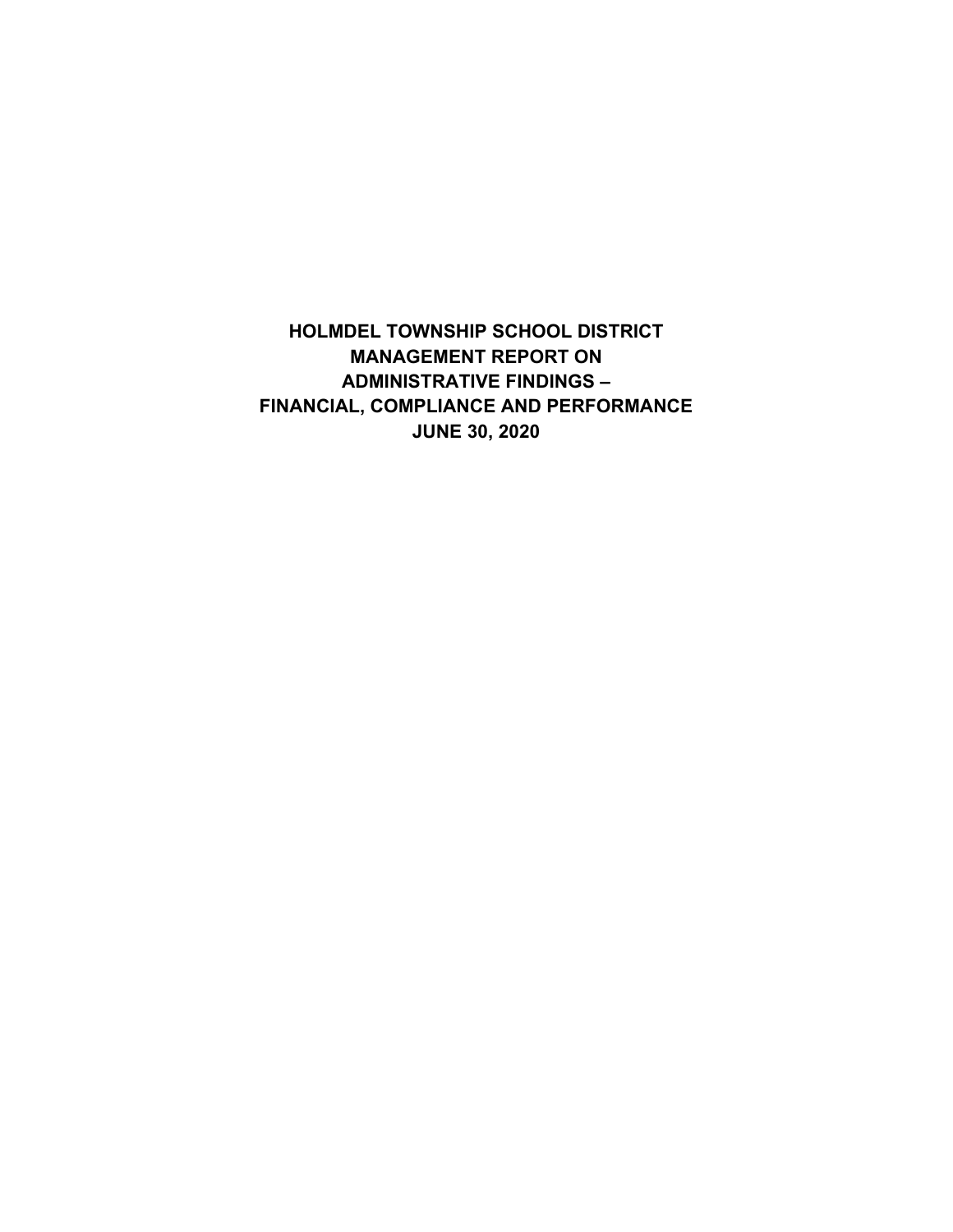**HOLMDEL TOWNSHIP SCHOOL DISTRICT MANAGEMENT REPORT ON ADMINISTRATIVE FINDINGS – FINANCIAL, COMPLIANCE AND PERFORMANCE JUNE 30, 2020**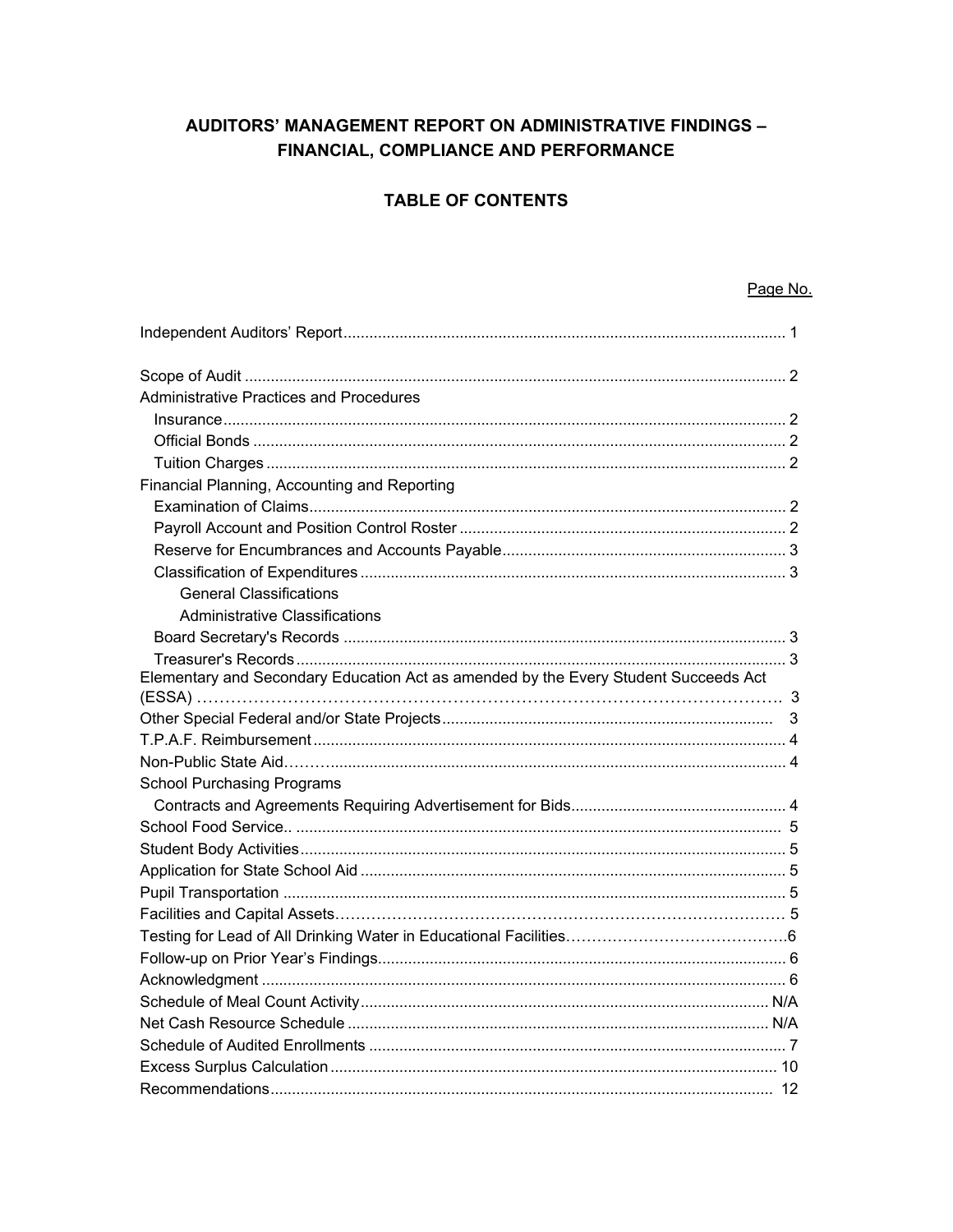# AUDITORS' MANAGEMENT REPORT ON ADMINISTRATIVE FINDINGS -FINANCIAL, COMPLIANCE AND PERFORMANCE

# **TABLE OF CONTENTS**

### Page No.

| Administrative Practices and Procedures                                             |
|-------------------------------------------------------------------------------------|
|                                                                                     |
|                                                                                     |
|                                                                                     |
| Financial Planning, Accounting and Reporting                                        |
|                                                                                     |
|                                                                                     |
|                                                                                     |
|                                                                                     |
| <b>General Classifications</b>                                                      |
| <b>Administrative Classifications</b>                                               |
|                                                                                     |
|                                                                                     |
| Elementary and Secondary Education Act as amended by the Every Student Succeeds Act |
|                                                                                     |
|                                                                                     |
|                                                                                     |
|                                                                                     |
| <b>School Purchasing Programs</b>                                                   |
|                                                                                     |
|                                                                                     |
|                                                                                     |
|                                                                                     |
|                                                                                     |
|                                                                                     |
|                                                                                     |
|                                                                                     |
|                                                                                     |
|                                                                                     |
|                                                                                     |
|                                                                                     |
|                                                                                     |
|                                                                                     |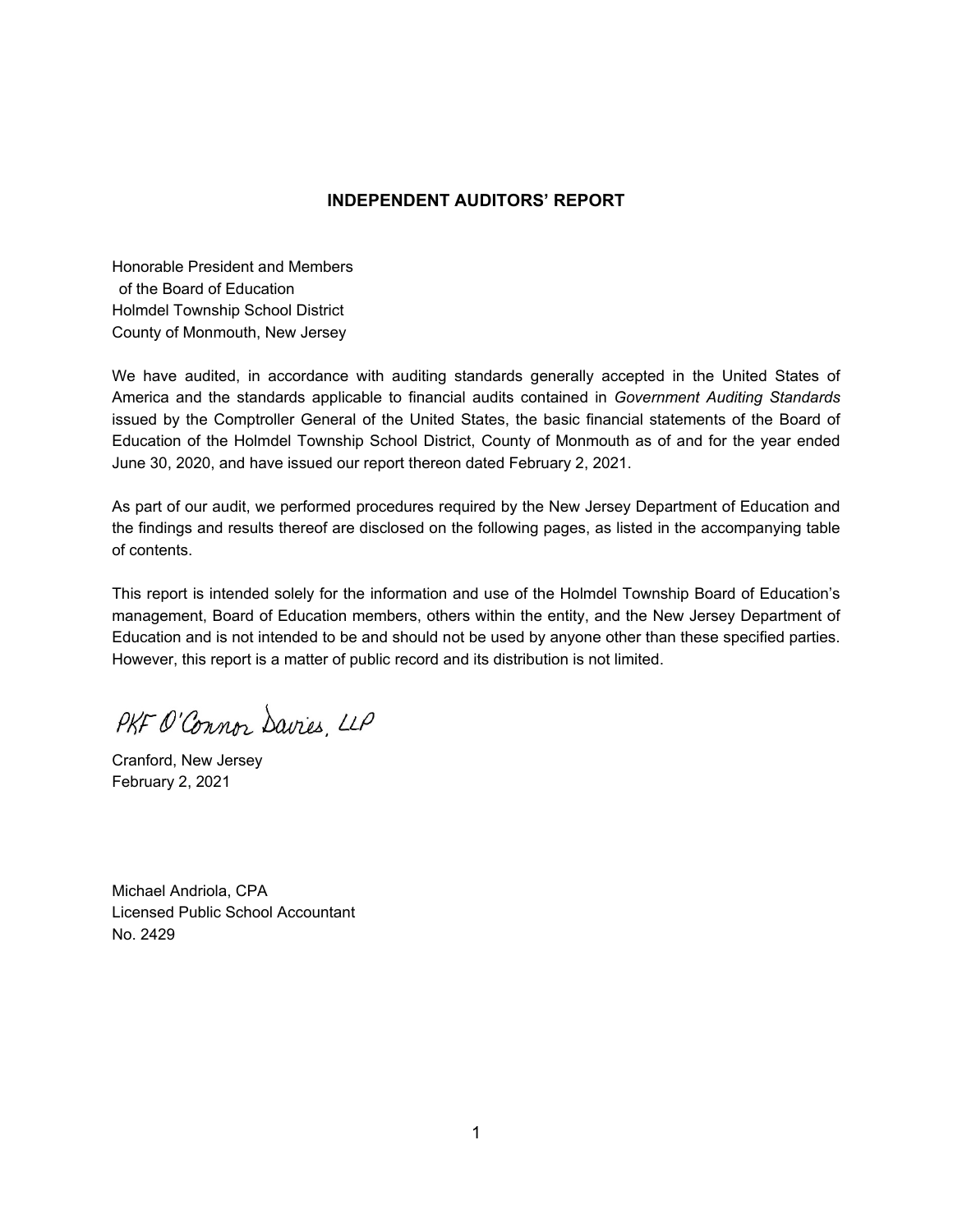### **INDEPENDENT AUDITORS' REPORT**

Honorable President and Members of the Board of Education Holmdel Township School District County of Monmouth, New Jersey

We have audited, in accordance with auditing standards generally accepted in the United States of America and the standards applicable to financial audits contained in *Government Auditing Standards* issued by the Comptroller General of the United States, the basic financial statements of the Board of Education of the Holmdel Township School District, County of Monmouth as of and for the year ended June 30, 2020, and have issued our report thereon dated February 2, 2021.

As part of our audit, we performed procedures required by the New Jersey Department of Education and the findings and results thereof are disclosed on the following pages, as listed in the accompanying table of contents.

This report is intended solely for the information and use of the Holmdel Township Board of Education's management, Board of Education members, others within the entity, and the New Jersey Department of Education and is not intended to be and should not be used by anyone other than these specified parties. However, this report is a matter of public record and its distribution is not limited.

PKF O'Connor Savies LLP

Cranford, New Jersey February 2, 2021

Michael Andriola, CPA Licensed Public School Accountant No. 2429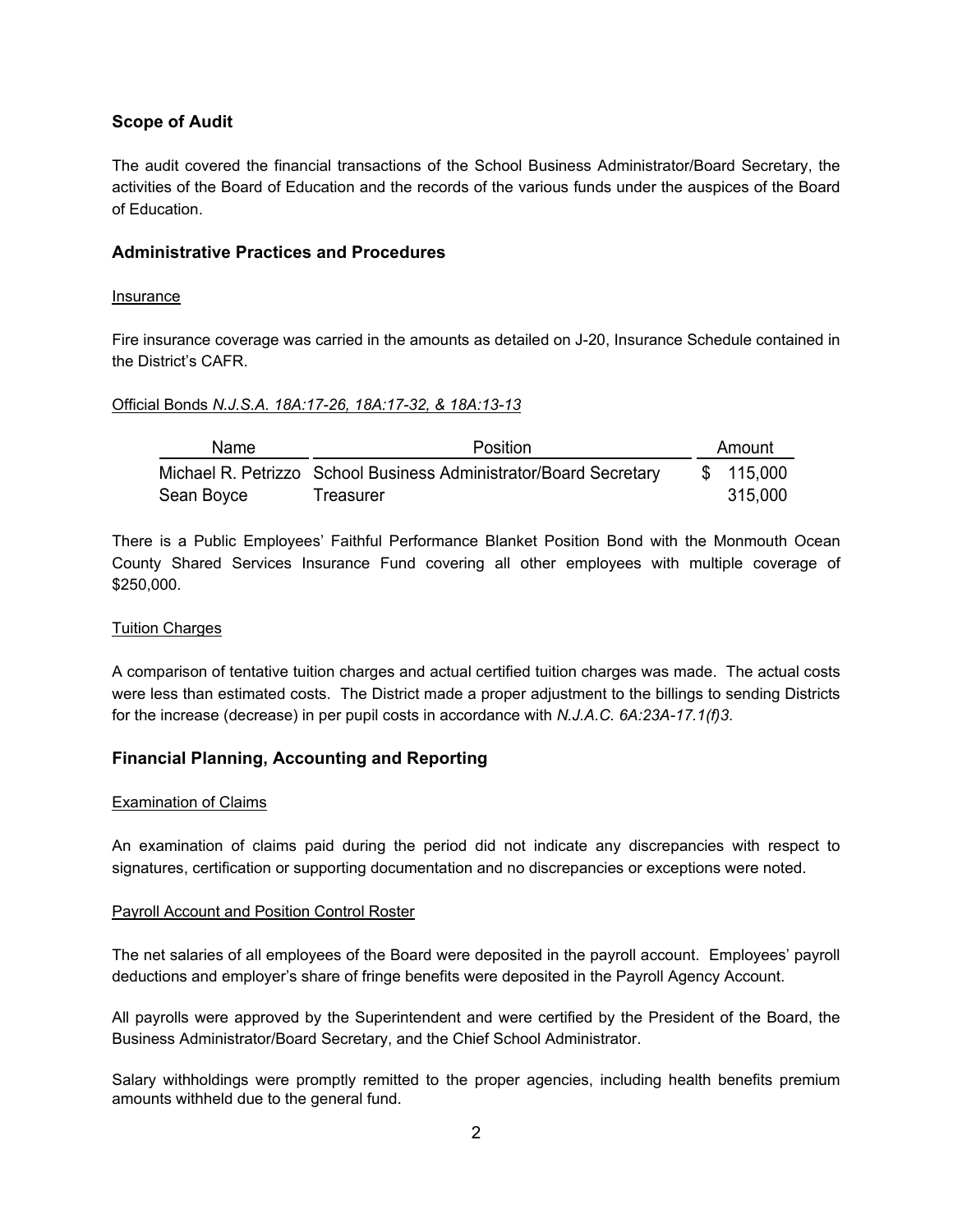## **Scope of Audit**

The audit covered the financial transactions of the School Business Administrator/Board Secretary, the activities of the Board of Education and the records of the various funds under the auspices of the Board of Education.

### **Administrative Practices and Procedures**

### Insurance

Fire insurance coverage was carried in the amounts as detailed on J-20, Insurance Schedule contained in the District's CAFR.

### Official Bonds *N.J.S.A. 18A:17-26, 18A:17-32, & 18A:13-13*

| <b>Name</b> | Position                                                          | Amount     |
|-------------|-------------------------------------------------------------------|------------|
|             | Michael R. Petrizzo School Business Administrator/Board Secretary | \$ 115,000 |
| Sean Boyce  | Treasurer                                                         | 315.000    |

There is a Public Employees' Faithful Performance Blanket Position Bond with the Monmouth Ocean County Shared Services Insurance Fund covering all other employees with multiple coverage of \$250,000.

### Tuition Charges

A comparison of tentative tuition charges and actual certified tuition charges was made. The actual costs were less than estimated costs. The District made a proper adjustment to the billings to sending Districts for the increase (decrease) in per pupil costs in accordance with *N.J.A.C. 6A:23A-17.1(f)3*.

### **Financial Planning, Accounting and Reporting**

### Examination of Claims

An examination of claims paid during the period did not indicate any discrepancies with respect to signatures, certification or supporting documentation and no discrepancies or exceptions were noted.

### Payroll Account and Position Control Roster

The net salaries of all employees of the Board were deposited in the payroll account. Employees' payroll deductions and employer's share of fringe benefits were deposited in the Payroll Agency Account.

All payrolls were approved by the Superintendent and were certified by the President of the Board, the Business Administrator/Board Secretary, and the Chief School Administrator.

Salary withholdings were promptly remitted to the proper agencies, including health benefits premium amounts withheld due to the general fund.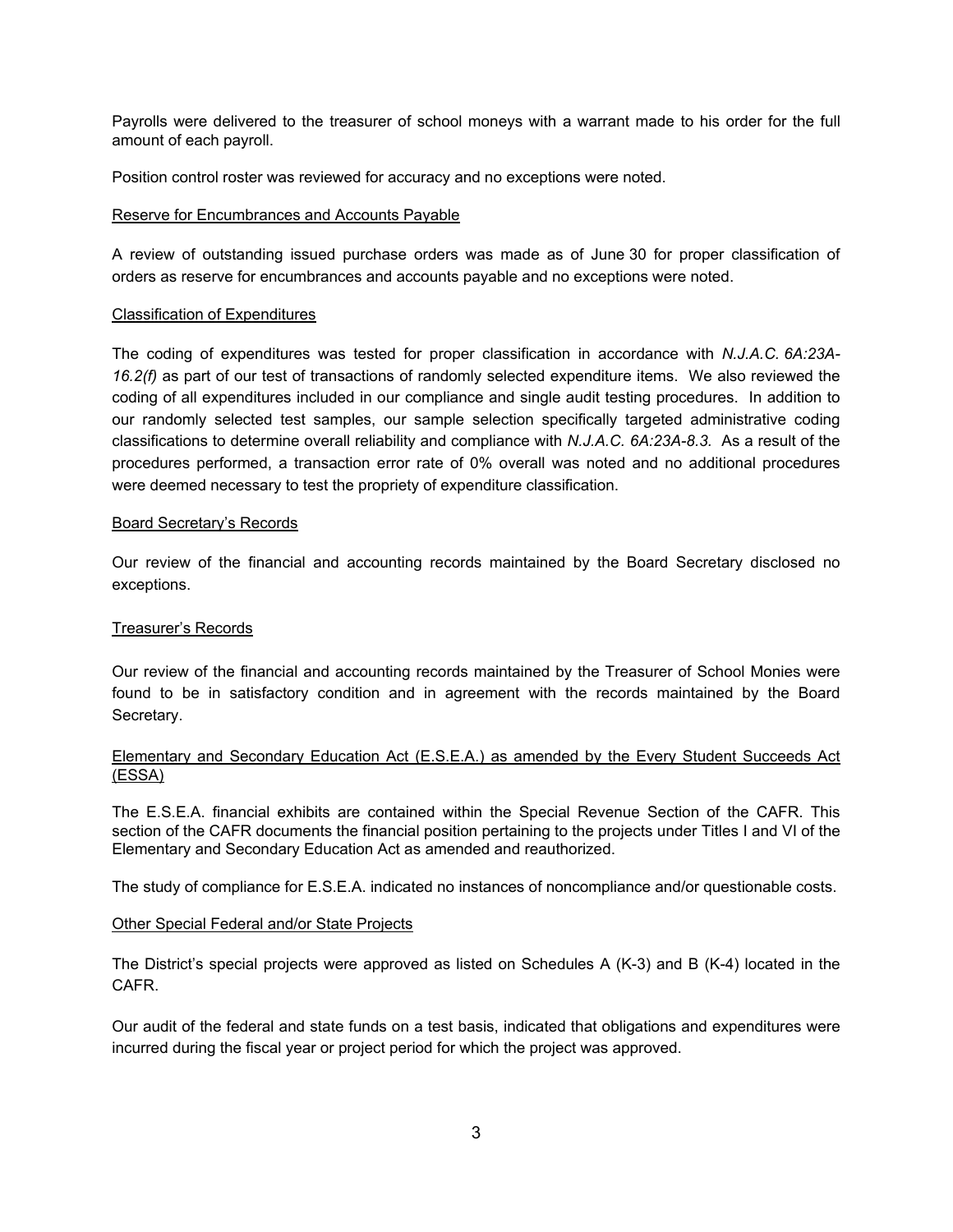Payrolls were delivered to the treasurer of school moneys with a warrant made to his order for the full amount of each payroll.

Position control roster was reviewed for accuracy and no exceptions were noted.

### Reserve for Encumbrances and Accounts Payable

A review of outstanding issued purchase orders was made as of June 30 for proper classification of orders as reserve for encumbrances and accounts payable and no exceptions were noted.

### Classification of Expenditures

The coding of expenditures was tested for proper classification in accordance with *N.J.A.C. 6A:23A-16.2(f)* as part of our test of transactions of randomly selected expenditure items. We also reviewed the coding of all expenditures included in our compliance and single audit testing procedures. In addition to our randomly selected test samples, our sample selection specifically targeted administrative coding classifications to determine overall reliability and compliance with *N.J.A.C. 6A:23A-8.3.* As a result of the procedures performed, a transaction error rate of 0% overall was noted and no additional procedures were deemed necessary to test the propriety of expenditure classification.

### Board Secretary's Records

Our review of the financial and accounting records maintained by the Board Secretary disclosed no exceptions.

### Treasurer's Records

Our review of the financial and accounting records maintained by the Treasurer of School Monies were found to be in satisfactory condition and in agreement with the records maintained by the Board Secretary.

### Elementary and Secondary Education Act (E.S.E.A.) as amended by the Every Student Succeeds Act (ESSA)

The E.S.E.A. financial exhibits are contained within the Special Revenue Section of the CAFR. This section of the CAFR documents the financial position pertaining to the projects under Titles I and VI of the Elementary and Secondary Education Act as amended and reauthorized.

The study of compliance for E.S.E.A. indicated no instances of noncompliance and/or questionable costs.

### Other Special Federal and/or State Projects

The District's special projects were approved as listed on Schedules A (K-3) and B (K-4) located in the CAFR.

Our audit of the federal and state funds on a test basis, indicated that obligations and expenditures were incurred during the fiscal year or project period for which the project was approved.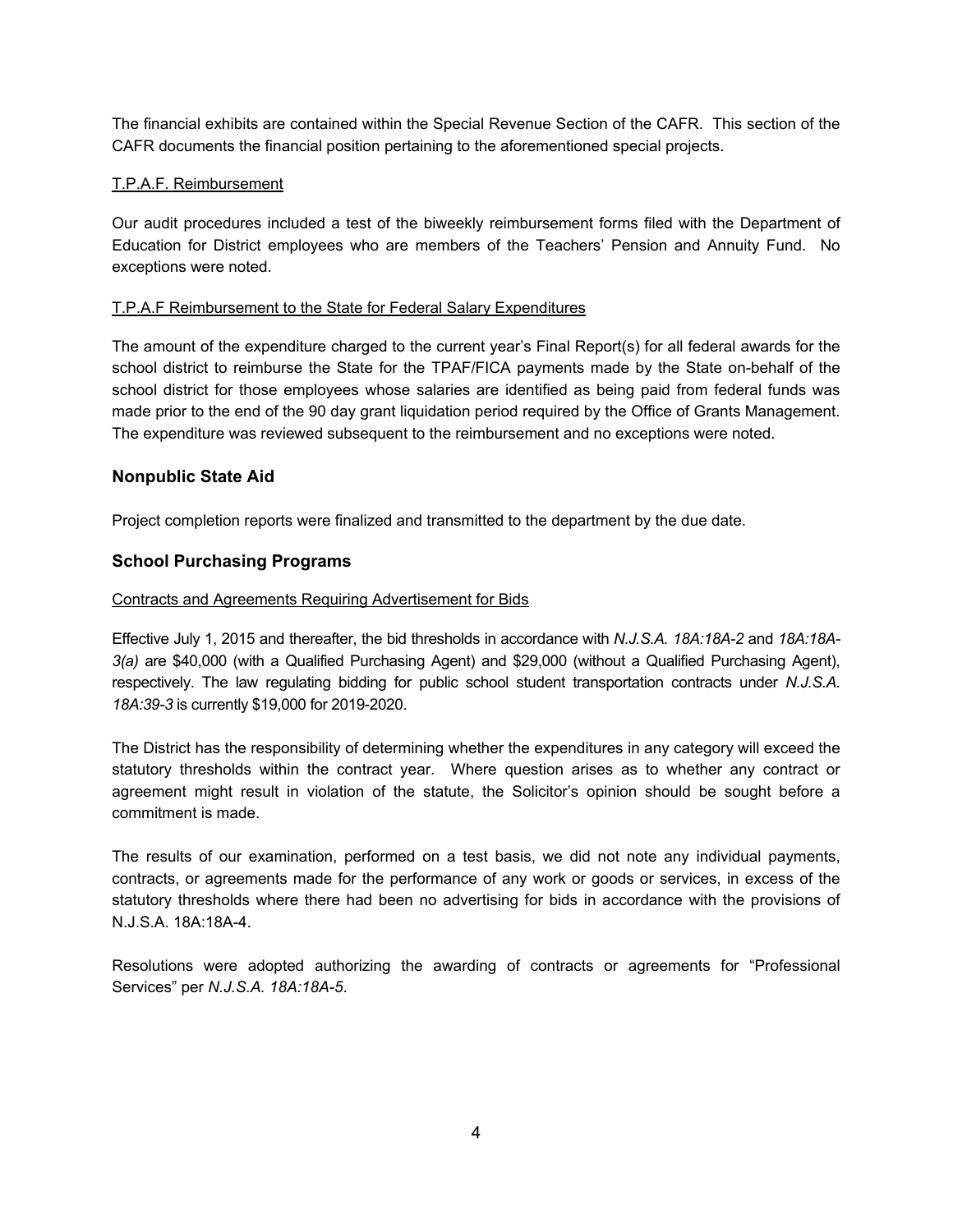The financial exhibits are contained within the Special Revenue Section of the CAFR. This section of the CAFR documents the financial position pertaining to the aforementioned special projects.

### T.P.A.F. Reimbursement

Our audit procedures included a test of the biweekly reimbursement forms filed with the Department of Education for District employees who are members of the Teachers' Pension and Annuity Fund. No exceptions were noted.

### T.P.A.F Reimbursement to the State for Federal Salary Expenditures

The amount of the expenditure charged to the current year's Final Report(s) for all federal awards for the school district to reimburse the State for the TPAF/FICA payments made by the State on-behalf of the school district for those employees whose salaries are identified as being paid from federal funds was made prior to the end of the 90 day grant liquidation period required by the Office of Grants Management. The expenditure was reviewed subsequent to the reimbursement and no exceptions were noted.

## **Nonpublic State Aid**

Project completion reports were finalized and transmitted to the department by the due date.

## **School Purchasing Programs**

### Contracts and Agreements Requiring Advertisement for Bids

Effective July 1, 2015 and thereafter, the bid thresholds in accordance with *N.J.S.A. 18A:18A-2* and *18A:18A-3(a)* are \$40,000 (with a Qualified Purchasing Agent) and \$29,000 (without a Qualified Purchasing Agent), respectively. The law regulating bidding for public school student transportation contracts under *N.J.S.A. 18A:39-3* is currently \$19,000 for 2019-2020.

The District has the responsibility of determining whether the expenditures in any category will exceed the statutory thresholds within the contract year. Where question arises as to whether any contract or agreement might result in violation of the statute, the Solicitor's opinion should be sought before a commitment is made.

The results of our examination, performed on a test basis, we did not note any individual payments, contracts, or agreements made for the performance of any work or goods or services, in excess of the statutory thresholds where there had been no advertising for bids in accordance with the provisions of N.J.S.A. 18A:18A-4.

Resolutions were adopted authorizing the awarding of contracts or agreements for "Professional Services" per *N.J.S.A. 18A:18A-5*.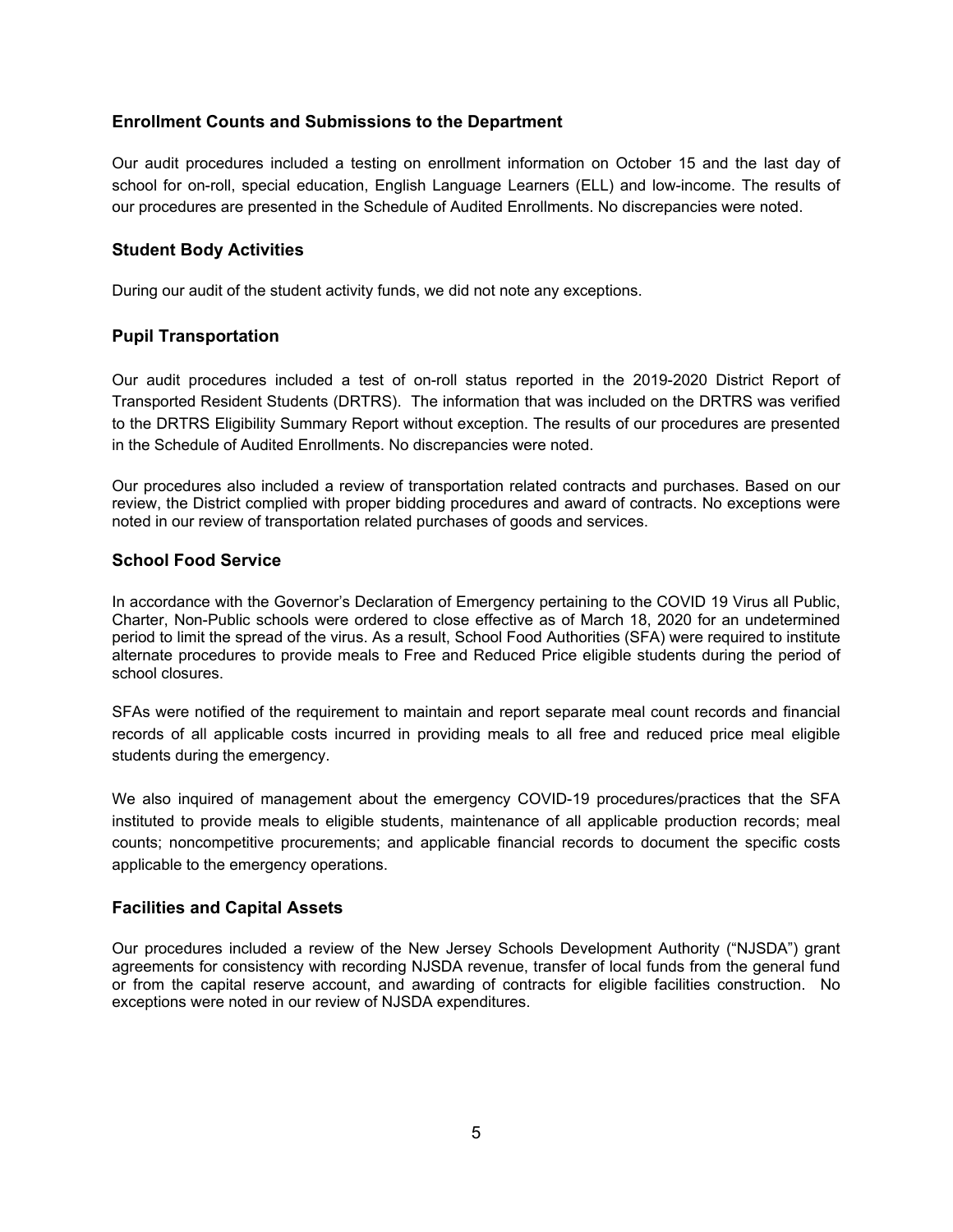## **Enrollment Counts and Submissions to the Department**

Our audit procedures included a testing on enrollment information on October 15 and the last day of school for on-roll, special education, English Language Learners (ELL) and low-income. The results of our procedures are presented in the Schedule of Audited Enrollments. No discrepancies were noted.

## **Student Body Activities**

During our audit of the student activity funds, we did not note any exceptions.

### **Pupil Transportation**

Our audit procedures included a test of on-roll status reported in the 2019-2020 District Report of Transported Resident Students (DRTRS). The information that was included on the DRTRS was verified to the DRTRS Eligibility Summary Report without exception. The results of our procedures are presented in the Schedule of Audited Enrollments. No discrepancies were noted.

Our procedures also included a review of transportation related contracts and purchases. Based on our review, the District complied with proper bidding procedures and award of contracts. No exceptions were noted in our review of transportation related purchases of goods and services.

## **School Food Service**

In accordance with the Governor's Declaration of Emergency pertaining to the COVID 19 Virus all Public, Charter, Non-Public schools were ordered to close effective as of March 18, 2020 for an undetermined period to limit the spread of the virus. As a result, School Food Authorities (SFA) were required to institute alternate procedures to provide meals to Free and Reduced Price eligible students during the period of school closures.

SFAs were notified of the requirement to maintain and report separate meal count records and financial records of all applicable costs incurred in providing meals to all free and reduced price meal eligible students during the emergency.

We also inquired of management about the emergency COVID-19 procedures/practices that the SFA instituted to provide meals to eligible students, maintenance of all applicable production records; meal counts; noncompetitive procurements; and applicable financial records to document the specific costs applicable to the emergency operations.

### **Facilities and Capital Assets**

Our procedures included a review of the New Jersey Schools Development Authority ("NJSDA") grant agreements for consistency with recording NJSDA revenue, transfer of local funds from the general fund or from the capital reserve account, and awarding of contracts for eligible facilities construction. No exceptions were noted in our review of NJSDA expenditures.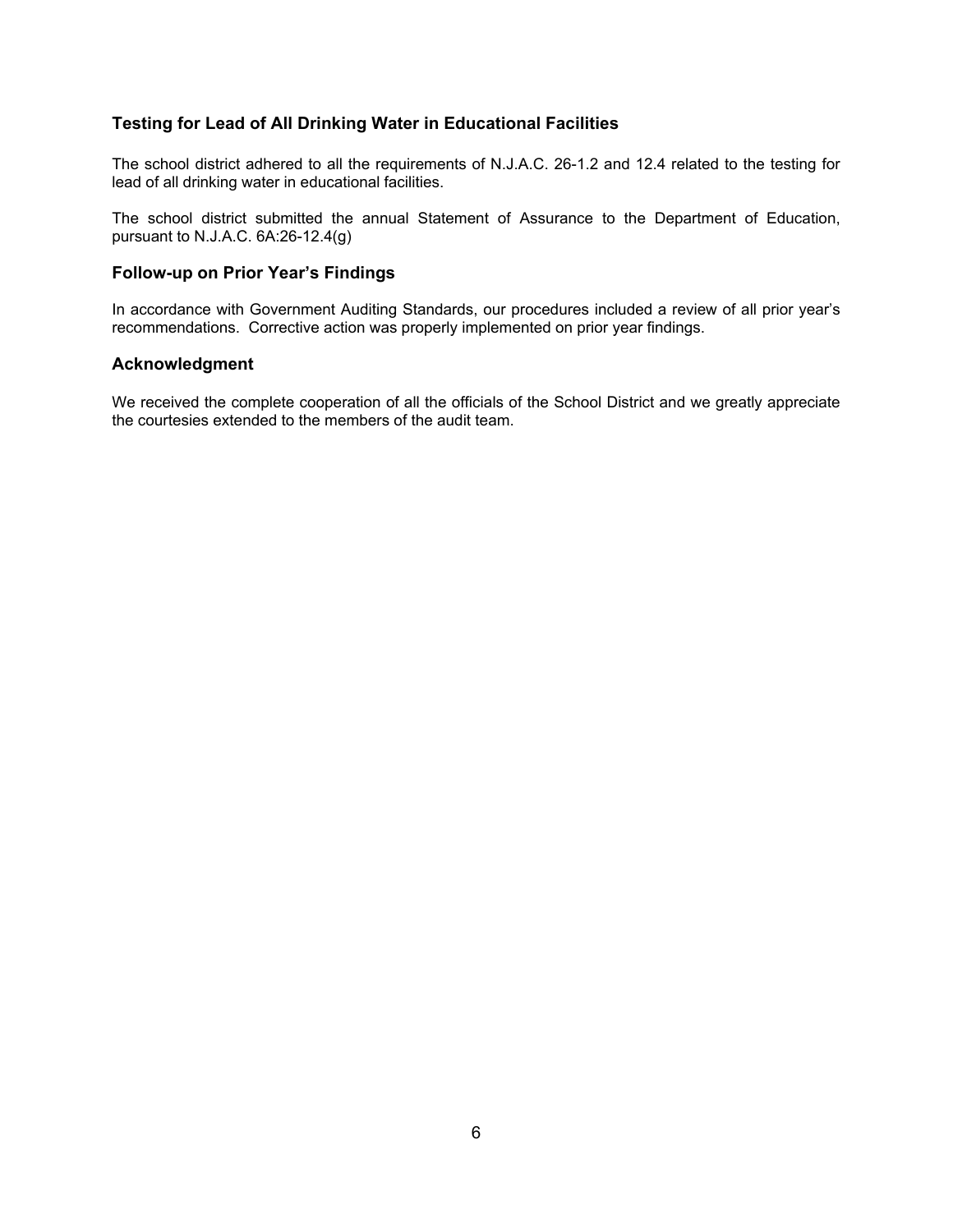## **Testing for Lead of All Drinking Water in Educational Facilities**

The school district adhered to all the requirements of N.J.A.C. 26-1.2 and 12.4 related to the testing for lead of all drinking water in educational facilities.

The school district submitted the annual Statement of Assurance to the Department of Education, pursuant to N.J.A.C. 6A:26-12.4(g)

### **Follow-up on Prior Year's Findings**

In accordance with Government Auditing Standards, our procedures included a review of all prior year's recommendations. Corrective action was properly implemented on prior year findings.

### **Acknowledgment**

We received the complete cooperation of all the officials of the School District and we greatly appreciate the courtesies extended to the members of the audit team.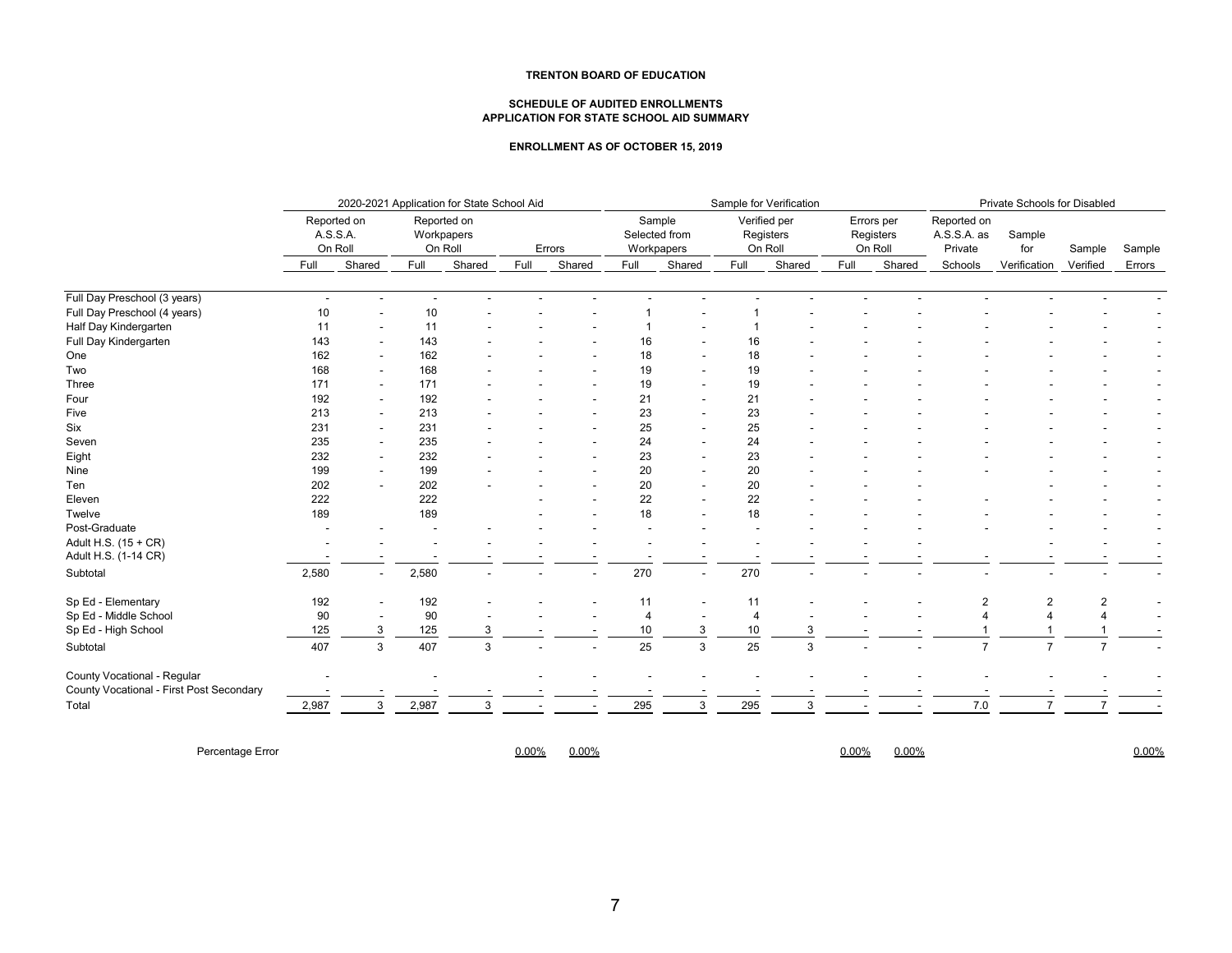#### **TRENTON BOARD OF EDUCATION**

#### **SCHEDULE OF AUDITED ENROLLMENTS APPLICATION FOR STATE SCHOOL AID SUMMARY**

#### **ENROLLMENT AS OF OCTOBER 15, 2019**

|                                          | 2020-2021 Application for State School Aid |                          |                                      |        |        |        |                                       | Sample for Verification  |                                      |        |                                    |        |                                       | Private Schools for Disabled |                |        |  |  |  |
|------------------------------------------|--------------------------------------------|--------------------------|--------------------------------------|--------|--------|--------|---------------------------------------|--------------------------|--------------------------------------|--------|------------------------------------|--------|---------------------------------------|------------------------------|----------------|--------|--|--|--|
|                                          | Reported on<br>A.S.S.A.<br>On Roll         |                          | Reported on<br>Workpapers<br>On Roll |        | Errors |        | Sample<br>Selected from<br>Workpapers |                          | Verified per<br>Registers<br>On Roll |        | Errors per<br>Registers<br>On Roll |        | Reported on<br>A.S.S.A. as<br>Private | Sample<br>for                | Sample         | Sample |  |  |  |
|                                          | Full                                       | Shared                   | Full                                 | Shared | Full   | Shared | Full                                  | Shared                   | Full                                 | Shared | Full                               | Shared | Schools                               | Verification                 | Verified       | Errors |  |  |  |
| Full Day Preschool (3 years)             | $\sim$                                     |                          | $\overline{\phantom{a}}$             |        |        |        |                                       |                          |                                      |        |                                    |        |                                       |                              |                |        |  |  |  |
| Full Day Preschool (4 years)             | 10                                         |                          | 10                                   |        |        |        |                                       |                          |                                      |        |                                    |        |                                       |                              |                |        |  |  |  |
| Half Day Kindergarten                    | 11                                         |                          | 11                                   |        |        |        |                                       |                          |                                      |        |                                    |        |                                       |                              |                |        |  |  |  |
| Full Day Kindergarten                    | 143                                        |                          | 143                                  |        |        |        | 16                                    |                          | 16                                   |        |                                    |        |                                       |                              |                |        |  |  |  |
| One                                      | 162                                        |                          | 162                                  |        |        |        | 18                                    |                          | 18                                   |        |                                    |        |                                       |                              |                |        |  |  |  |
| Two                                      | 168                                        |                          | 168                                  |        |        |        | 19                                    |                          | 19                                   |        |                                    |        |                                       |                              |                |        |  |  |  |
| Three                                    | 171                                        |                          | 171                                  |        |        |        | 19                                    |                          | 19                                   |        |                                    |        |                                       |                              |                |        |  |  |  |
| Four                                     | 192                                        |                          | 192                                  |        |        |        | 21                                    |                          | 21                                   |        |                                    |        |                                       |                              |                |        |  |  |  |
| Five                                     | 213                                        |                          | 213                                  |        |        |        | 23                                    |                          | 23                                   |        |                                    |        |                                       |                              |                |        |  |  |  |
| Six                                      | 231                                        |                          | 231                                  |        |        |        | 25                                    |                          | 25                                   |        |                                    |        |                                       |                              |                |        |  |  |  |
| Seven                                    | 235                                        |                          | 235                                  |        |        |        | 24                                    |                          | 24                                   |        |                                    |        |                                       |                              |                |        |  |  |  |
| Eight                                    | 232                                        |                          | 232                                  |        |        |        | 23                                    |                          | 23                                   |        |                                    |        |                                       |                              |                |        |  |  |  |
| Nine                                     | 199                                        |                          | 199                                  |        |        |        | 20                                    |                          | 20                                   |        |                                    |        |                                       |                              |                |        |  |  |  |
| Ten                                      | 202                                        |                          | 202                                  |        |        |        | 20                                    |                          | 20                                   |        |                                    |        |                                       |                              |                |        |  |  |  |
| Eleven                                   | 222                                        |                          | 222                                  |        |        |        | 22                                    |                          | 22                                   |        |                                    |        |                                       |                              |                |        |  |  |  |
| Twelve                                   | 189                                        |                          | 189                                  |        |        |        | 18                                    |                          | 18                                   |        |                                    |        |                                       |                              |                |        |  |  |  |
| Post-Graduate                            |                                            |                          |                                      |        |        |        |                                       |                          |                                      |        |                                    |        |                                       |                              |                |        |  |  |  |
| Adult H.S. (15 + CR)                     |                                            |                          |                                      |        |        |        |                                       |                          |                                      |        |                                    |        |                                       |                              |                |        |  |  |  |
| Adult H.S. (1-14 CR)                     |                                            |                          |                                      |        |        |        |                                       |                          |                                      |        |                                    |        |                                       |                              |                |        |  |  |  |
| Subtotal                                 | 2,580                                      | $\overline{\phantom{a}}$ | 2,580                                |        |        |        | 270                                   | $\overline{\phantom{a}}$ | 270                                  |        |                                    |        |                                       |                              |                |        |  |  |  |
| Sp Ed - Elementary                       | 192                                        |                          | 192                                  |        |        |        | 11                                    |                          | 11                                   |        |                                    |        | $\overline{2}$                        |                              | 2              |        |  |  |  |
| Sp Ed - Middle School                    | 90                                         |                          | 90                                   |        |        |        | $\overline{4}$                        |                          | 4                                    |        |                                    |        |                                       |                              |                |        |  |  |  |
| Sp Ed - High School                      | 125                                        | 3                        | 125                                  | 3      |        |        | 10                                    |                          | 10                                   | 3      |                                    |        |                                       |                              |                |        |  |  |  |
| Subtotal                                 | 407                                        | 3                        | 407                                  | 3      |        |        | 25                                    | 3                        | 25                                   | 3      |                                    |        | $\overline{7}$                        |                              | $\overline{7}$ |        |  |  |  |
| County Vocational - Regular              |                                            |                          |                                      |        |        |        |                                       |                          |                                      |        |                                    |        |                                       |                              |                |        |  |  |  |
| County Vocational - First Post Secondary |                                            |                          |                                      |        |        |        |                                       |                          |                                      |        |                                    |        |                                       |                              |                |        |  |  |  |
| Total                                    | 2,987                                      | 3                        | 2,987                                | 3      |        |        | 295                                   | 3                        | 295                                  | 3      |                                    |        | 7.0                                   |                              | $\overline{7}$ |        |  |  |  |

Percentage Error 0.00% 0.00% 0.00% 0.00% 0.00%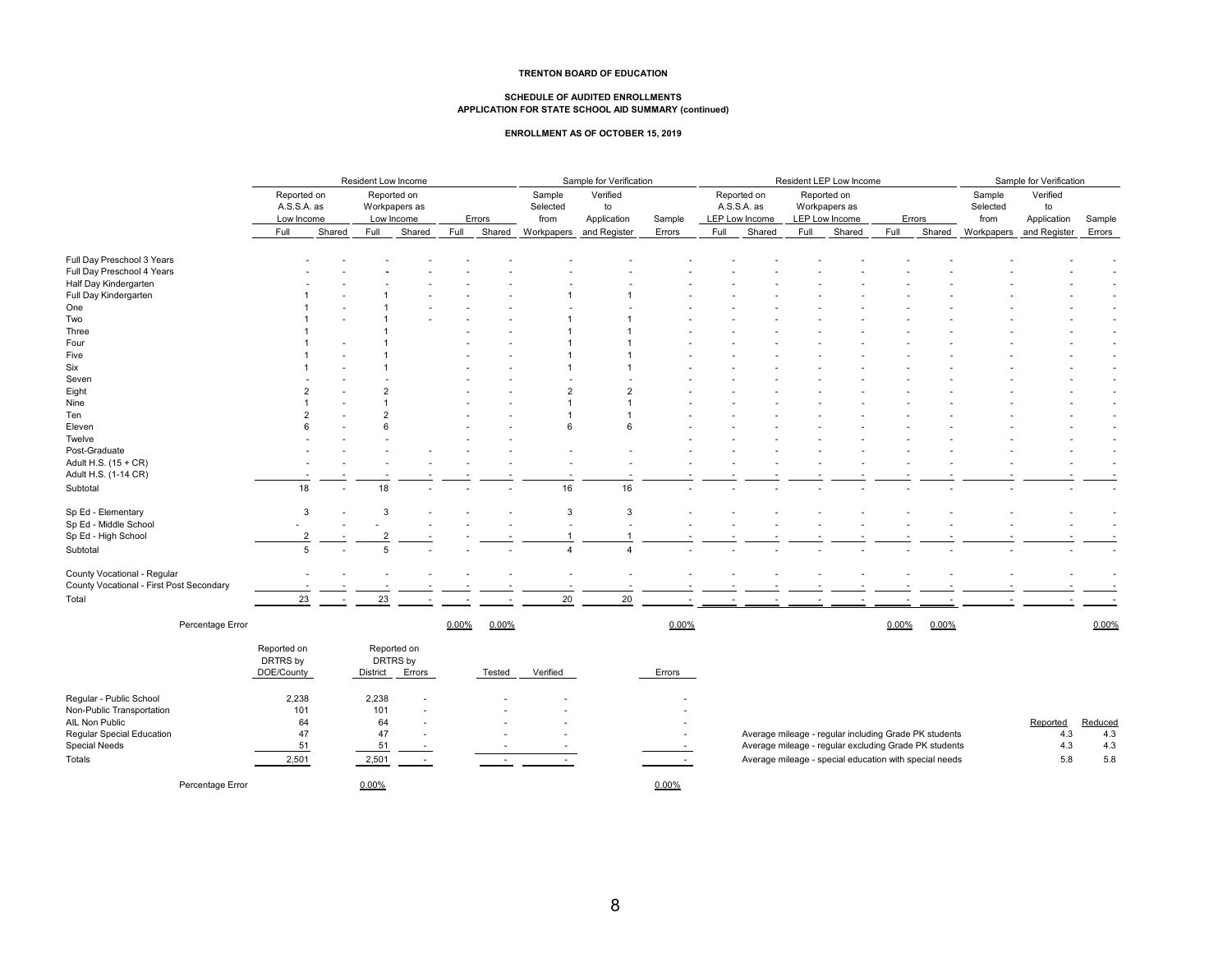#### **TRENTON BOARD OF EDUCATION**

# **SCHEDULE OF AUDITED ENROLLMENTS APPLICATION FOR STATE SCHOOL AID SUMMARY (continued)**

#### **ENROLLMENT AS OF OCTOBER 15, 2019**

|                                          | Resident Low Income                      |                                            |          |             |       | Sample for Verification |                            |                               |        | Resident LEP Low Income |                                              |                                                |      |        |            | Sample for Verification    |                               |         |  |
|------------------------------------------|------------------------------------------|--------------------------------------------|----------|-------------|-------|-------------------------|----------------------------|-------------------------------|--------|-------------------------|----------------------------------------------|------------------------------------------------|------|--------|------------|----------------------------|-------------------------------|---------|--|
|                                          | Reported on<br>A.S.S.A. as<br>Low Income | Reported on<br>Workpapers as<br>Low Income |          | Errors      |       |                         | Sample<br>Selected<br>from | Verified<br>to<br>Application | Sample |                         | Reported on<br>A.S.S.A. as<br>LEP Low Income | Reported on<br>Workpapers as<br>LEP Low Income |      |        | Errors     | Sample<br>Selected<br>from | Verified<br>to<br>Application | Sample  |  |
|                                          | Full                                     | Shared                                     | Full     | Shared      | Full  | Shared                  | Workpapers<br>and Register | Errors                        | Full   | Shared                  | Full                                         | Shared                                         | Full | Shared | Workpapers | and Register               | Errors                        |         |  |
| Full Day Preschool 3 Years               |                                          |                                            |          |             |       |                         |                            |                               |        |                         |                                              |                                                |      |        |            |                            |                               |         |  |
| Full Day Preschool 4 Years               |                                          |                                            |          |             |       |                         |                            |                               |        |                         |                                              |                                                |      |        |            |                            |                               |         |  |
| Half Day Kindergarten                    |                                          |                                            |          |             |       |                         |                            |                               |        |                         |                                              |                                                |      |        |            |                            |                               |         |  |
| Full Day Kindergarten                    |                                          |                                            |          |             |       |                         |                            |                               |        |                         |                                              |                                                |      |        |            |                            |                               |         |  |
| One                                      |                                          |                                            |          |             |       |                         |                            |                               |        |                         |                                              |                                                |      |        |            |                            |                               |         |  |
| Two                                      |                                          |                                            |          |             |       |                         |                            |                               |        |                         |                                              |                                                |      |        |            |                            |                               |         |  |
| Three                                    |                                          |                                            |          |             |       |                         |                            |                               |        |                         |                                              |                                                |      |        |            |                            |                               |         |  |
| Four                                     |                                          |                                            |          |             |       |                         |                            |                               |        |                         |                                              |                                                |      |        |            |                            |                               |         |  |
| Five                                     |                                          |                                            |          |             |       |                         |                            |                               |        |                         |                                              |                                                |      |        |            |                            |                               |         |  |
| Six                                      |                                          |                                            |          |             |       |                         |                            |                               |        |                         |                                              |                                                |      |        |            |                            |                               |         |  |
| Seven                                    |                                          |                                            |          |             |       |                         |                            |                               |        |                         |                                              |                                                |      |        |            |                            |                               |         |  |
| Eight                                    |                                          |                                            |          |             |       |                         | $\overline{2}$             | $\overline{2}$                |        |                         |                                              |                                                |      |        |            |                            |                               |         |  |
| Nine                                     |                                          |                                            |          |             |       |                         |                            |                               |        |                         |                                              |                                                |      |        |            |                            |                               |         |  |
| Ten                                      |                                          |                                            |          |             |       |                         |                            |                               |        |                         |                                              |                                                |      |        |            |                            |                               |         |  |
| Eleven                                   |                                          |                                            |          |             |       |                         | 6                          | 6                             |        |                         |                                              |                                                |      |        |            |                            |                               |         |  |
| Twelve                                   |                                          |                                            |          |             |       |                         |                            |                               |        |                         |                                              |                                                |      |        |            |                            |                               |         |  |
| Post-Graduate                            |                                          |                                            |          |             |       |                         |                            |                               |        |                         |                                              |                                                |      |        |            |                            |                               |         |  |
| Adult H.S. (15 + CR)                     |                                          |                                            |          |             |       |                         |                            |                               |        |                         |                                              |                                                |      |        |            |                            |                               |         |  |
| Adult H.S. (1-14 CR)                     |                                          |                                            |          |             |       |                         |                            |                               |        |                         |                                              |                                                |      |        |            |                            |                               |         |  |
| Subtotal                                 | 18                                       |                                            | 18       |             |       |                         | 16                         | 16                            |        |                         |                                              |                                                |      |        |            |                            |                               |         |  |
| Sp Ed - Elementary                       |                                          | 3                                          | 3        |             |       |                         | 3                          | 3                             |        |                         |                                              |                                                |      |        |            |                            |                               |         |  |
| Sp Ed - Middle School                    |                                          |                                            |          |             |       |                         |                            |                               |        |                         |                                              |                                                |      |        |            |                            |                               |         |  |
| Sp Ed - High School                      |                                          |                                            |          |             |       |                         |                            |                               |        |                         |                                              |                                                |      |        |            |                            |                               |         |  |
| Subtotal                                 |                                          | $\overline{5}$                             | 5        |             |       |                         | $\overline{4}$             | $\overline{4}$                |        |                         |                                              |                                                |      |        |            |                            |                               |         |  |
| County Vocational - Regular              |                                          |                                            |          |             |       |                         |                            |                               |        |                         |                                              |                                                |      |        |            |                            |                               |         |  |
| County Vocational - First Post Secondary |                                          |                                            |          |             |       |                         |                            |                               |        |                         |                                              |                                                |      |        |            |                            |                               |         |  |
| Total                                    | 23                                       |                                            | 23       |             |       |                         | 20                         | 20                            |        |                         |                                              |                                                |      |        |            |                            |                               |         |  |
| Percentage Error                         |                                          |                                            |          |             | 0.00% | 0.00%                   |                            |                               | 0.00%  |                         |                                              |                                                |      | 0.00%  | 0.00%      |                            |                               | 0.00%   |  |
|                                          | Reported on                              |                                            |          | Reported on |       |                         |                            |                               |        |                         |                                              |                                                |      |        |            |                            |                               |         |  |
|                                          | DRTRS by                                 |                                            |          | DRTRS by    |       |                         |                            |                               |        |                         |                                              |                                                |      |        |            |                            |                               |         |  |
|                                          | DOE/County                               |                                            | District | Errors      |       | Tested                  | Verified                   |                               | Errors |                         |                                              |                                                |      |        |            |                            |                               |         |  |
| Regular - Public School                  | 2,238                                    |                                            | 2,238    |             |       |                         |                            |                               |        |                         |                                              |                                                |      |        |            |                            |                               |         |  |
| Non-Public Transportation                | 101                                      |                                            | 101      |             |       |                         |                            |                               |        |                         |                                              |                                                |      |        |            |                            |                               |         |  |
| AIL Non Public                           | 64                                       |                                            | 64       |             |       |                         |                            |                               |        |                         |                                              |                                                |      |        |            |                            | Reported                      | Reduced |  |

| AIL Non Public            |  |  |                                                        | Reducec |  |
|---------------------------|--|--|--------------------------------------------------------|---------|--|
| Regular Special Education |  |  | Average mileage - regular including Grade PK students  |         |  |
| Special Need:             |  |  | Average mileage - regular excluding Grade PK students  |         |  |
| Totals                    |  |  | Average mileage - special education with special needs |         |  |

Percentage Error **0.00%** 0.00% 0.00% 0.00% 0.00% 0.00% 0.00% 0.00% 0.00% 0.00% 0.00% 0.00% 0.00% 0.00% 0.00% 0.00% 0.00% 0.00% 0.00% 0.00% 0.00% 0.00% 0.00% 0.00% 0.00% 0.00% 0.00% 0.00% 0.00% 0.00% 0.00% 0.00% 0.00% 0.00%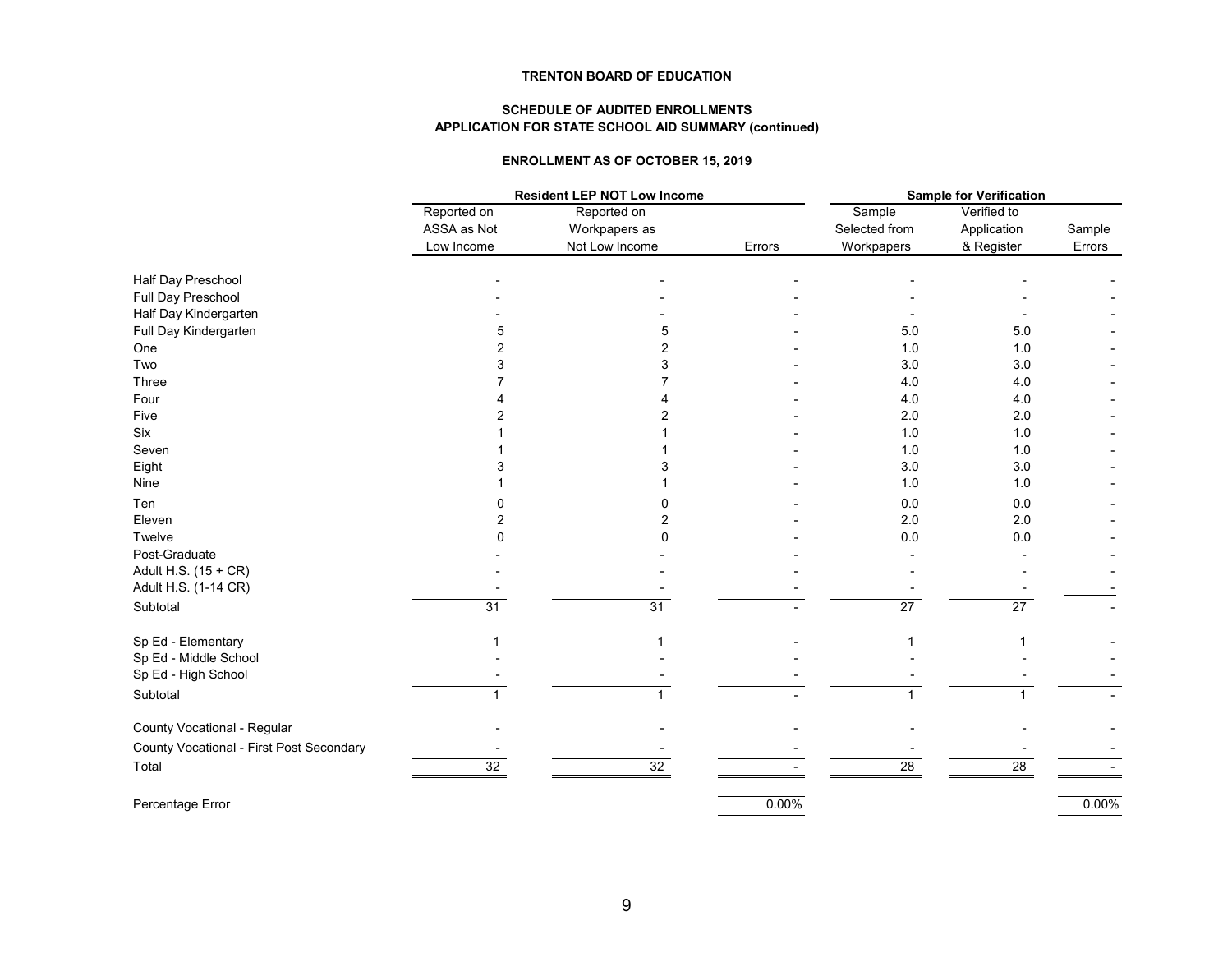### **TRENTON BOARD OF EDUCATION**

### **SCHEDULE OF AUDITED ENROLLMENTS APPLICATION FOR STATE SCHOOL AID SUMMARY (continued)**

### **ENROLLMENT AS OF OCTOBER 15, 2019**

| Reported on<br>Reported on<br>Verified to<br>Sample<br>ASSA as Not<br>Selected from<br>Application<br>Workpapers as<br>Not Low Income<br>Low Income<br>Errors<br>Workpapers<br>& Register<br>Half Day Preschool<br>Full Day Preschool<br>Half Day Kindergarten<br>Full Day Kindergarten<br>5.0<br>5.0<br>5<br>One<br>1.0<br>1.0<br>2<br>Two<br>3.0<br>3.0<br>3<br>Three<br>4.0<br>4.0<br>Four<br>4.0<br>4.0<br>2.0<br>2.0<br>Five<br>Six<br>1.0<br>1.0<br>Seven<br>1.0<br>1.0<br>Eight<br>3.0<br>3.0<br>1.0<br>1.0<br>Nine<br>Ten<br>0.0<br>0.0 | <b>Sample for Verification</b> |  |  |  |  |
|-------------------------------------------------------------------------------------------------------------------------------------------------------------------------------------------------------------------------------------------------------------------------------------------------------------------------------------------------------------------------------------------------------------------------------------------------------------------------------------------------------------------------------------------------|--------------------------------|--|--|--|--|
|                                                                                                                                                                                                                                                                                                                                                                                                                                                                                                                                                 |                                |  |  |  |  |
|                                                                                                                                                                                                                                                                                                                                                                                                                                                                                                                                                 | Sample                         |  |  |  |  |
|                                                                                                                                                                                                                                                                                                                                                                                                                                                                                                                                                 | Errors                         |  |  |  |  |
|                                                                                                                                                                                                                                                                                                                                                                                                                                                                                                                                                 |                                |  |  |  |  |
|                                                                                                                                                                                                                                                                                                                                                                                                                                                                                                                                                 |                                |  |  |  |  |
|                                                                                                                                                                                                                                                                                                                                                                                                                                                                                                                                                 |                                |  |  |  |  |
|                                                                                                                                                                                                                                                                                                                                                                                                                                                                                                                                                 |                                |  |  |  |  |
|                                                                                                                                                                                                                                                                                                                                                                                                                                                                                                                                                 |                                |  |  |  |  |
|                                                                                                                                                                                                                                                                                                                                                                                                                                                                                                                                                 |                                |  |  |  |  |
|                                                                                                                                                                                                                                                                                                                                                                                                                                                                                                                                                 |                                |  |  |  |  |
|                                                                                                                                                                                                                                                                                                                                                                                                                                                                                                                                                 |                                |  |  |  |  |
|                                                                                                                                                                                                                                                                                                                                                                                                                                                                                                                                                 |                                |  |  |  |  |
|                                                                                                                                                                                                                                                                                                                                                                                                                                                                                                                                                 |                                |  |  |  |  |
|                                                                                                                                                                                                                                                                                                                                                                                                                                                                                                                                                 |                                |  |  |  |  |
|                                                                                                                                                                                                                                                                                                                                                                                                                                                                                                                                                 |                                |  |  |  |  |
|                                                                                                                                                                                                                                                                                                                                                                                                                                                                                                                                                 |                                |  |  |  |  |
|                                                                                                                                                                                                                                                                                                                                                                                                                                                                                                                                                 |                                |  |  |  |  |
| 2.0<br>2.0<br>Eleven<br>2                                                                                                                                                                                                                                                                                                                                                                                                                                                                                                                       |                                |  |  |  |  |
| Twelve<br>0.0<br>$0.0\,$                                                                                                                                                                                                                                                                                                                                                                                                                                                                                                                        |                                |  |  |  |  |
| Post-Graduate                                                                                                                                                                                                                                                                                                                                                                                                                                                                                                                                   |                                |  |  |  |  |
| Adult H.S. (15 + CR)                                                                                                                                                                                                                                                                                                                                                                                                                                                                                                                            |                                |  |  |  |  |
| Adult H.S. (1-14 CR)                                                                                                                                                                                                                                                                                                                                                                                                                                                                                                                            |                                |  |  |  |  |
| 31<br>$\overline{27}$<br>$\overline{27}$<br>31<br>Subtotal                                                                                                                                                                                                                                                                                                                                                                                                                                                                                      |                                |  |  |  |  |
| Sp Ed - Elementary                                                                                                                                                                                                                                                                                                                                                                                                                                                                                                                              |                                |  |  |  |  |
| Sp Ed - Middle School                                                                                                                                                                                                                                                                                                                                                                                                                                                                                                                           |                                |  |  |  |  |
| Sp Ed - High School                                                                                                                                                                                                                                                                                                                                                                                                                                                                                                                             |                                |  |  |  |  |
| Subtotal                                                                                                                                                                                                                                                                                                                                                                                                                                                                                                                                        |                                |  |  |  |  |
| County Vocational - Regular                                                                                                                                                                                                                                                                                                                                                                                                                                                                                                                     |                                |  |  |  |  |
| County Vocational - First Post Secondary                                                                                                                                                                                                                                                                                                                                                                                                                                                                                                        |                                |  |  |  |  |
| Total<br>32<br>32<br>28<br>28                                                                                                                                                                                                                                                                                                                                                                                                                                                                                                                   |                                |  |  |  |  |
| 0.00%<br>Percentage Error                                                                                                                                                                                                                                                                                                                                                                                                                                                                                                                       | 0.00%                          |  |  |  |  |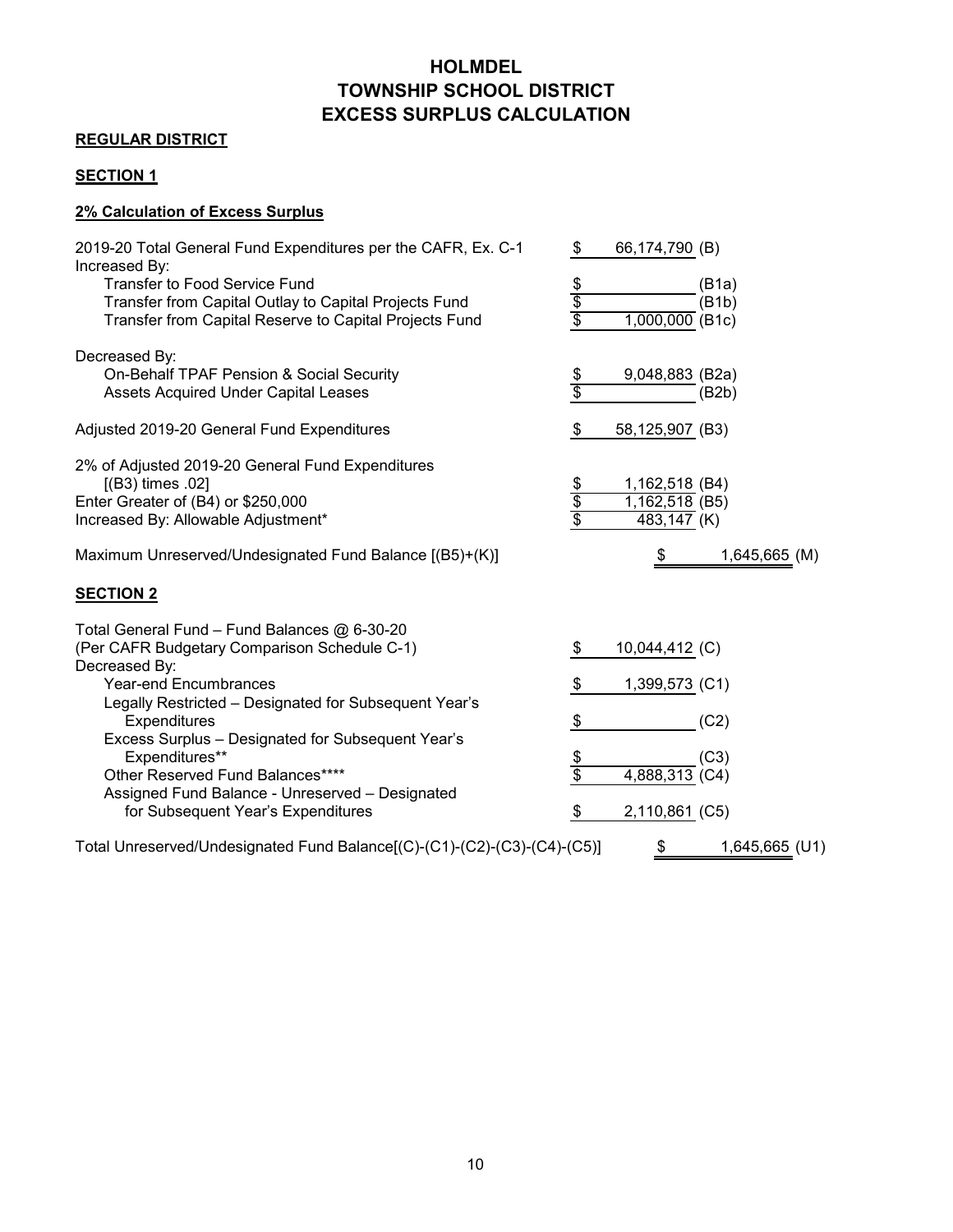# **HOLMDEL TOWNSHIP SCHOOL DISTRICT EXCESS SURPLUS CALCULATION**

# **REGULAR DISTRICT**

# **SECTION 1**

# **2% Calculation of Excess Surplus**

| 2019-20 Total General Fund Expenditures per the CAFR, Ex. C-1<br>Increased By:                                                                      | \$<br>66,174,790 (B)                                             |
|-----------------------------------------------------------------------------------------------------------------------------------------------------|------------------------------------------------------------------|
| Transfer to Food Service Fund<br>Transfer from Capital Outlay to Capital Projects Fund                                                              | $rac{6}{3}$<br>(B1a)<br>(B1b)                                    |
| Transfer from Capital Reserve to Capital Projects Fund                                                                                              | $1,000,000$ (B1c)                                                |
| Decreased By:<br>On-Behalf TPAF Pension & Social Security<br><b>Assets Acquired Under Capital Leases</b>                                            | $\frac{\$}{\$}$<br>9,048,883 (B2a)<br>(B2b)                      |
| Adjusted 2019-20 General Fund Expenditures                                                                                                          | \$<br>58,125,907 (B3)                                            |
| 2% of Adjusted 2019-20 General Fund Expenditures<br>$[(B3)$ times .02]<br>Enter Greater of (B4) or \$250,000<br>Increased By: Allowable Adjustment* | $rac{6}{6}$<br>1,162,518 (B4)<br>$1,162,518$ (B5)<br>483,147 (K) |
| Maximum Unreserved/Undesignated Fund Balance [(B5)+(K)]                                                                                             | $\frac{1}{2}$<br>1,645,665 (M)                                   |
| <b>SECTION 2</b>                                                                                                                                    |                                                                  |
| Total General Fund - Fund Balances @ 6-30-20<br>(Per CAFR Budgetary Comparison Schedule C-1)<br>Decreased By:<br><b>Year-end Encumbrances</b>       | 10,044,412 (C)<br>\$<br>\$<br>1,399,573 (C1)                     |
| Legally Restricted - Designated for Subsequent Year's<br>Expenditures<br>Excess Surplus - Designated for Subsequent Year's                          | \$<br>(C2)                                                       |
| Expenditures**<br>Other Reserved Fund Balances****                                                                                                  | $\frac{\$}{\$}$<br>(C3)<br>$4,888,313$ (C4)                      |
| Assigned Fund Balance - Unreserved - Designated<br>for Subsequent Year's Expenditures                                                               | \$<br>$2,110,861$ (C5)                                           |
| Total Unreserved/Undesignated Fund Balance[(C)-(C1)-(C2)-(C3)-(C4)-(C5)]                                                                            | $\frac{1}{2}$<br>1,645,665 (U1)                                  |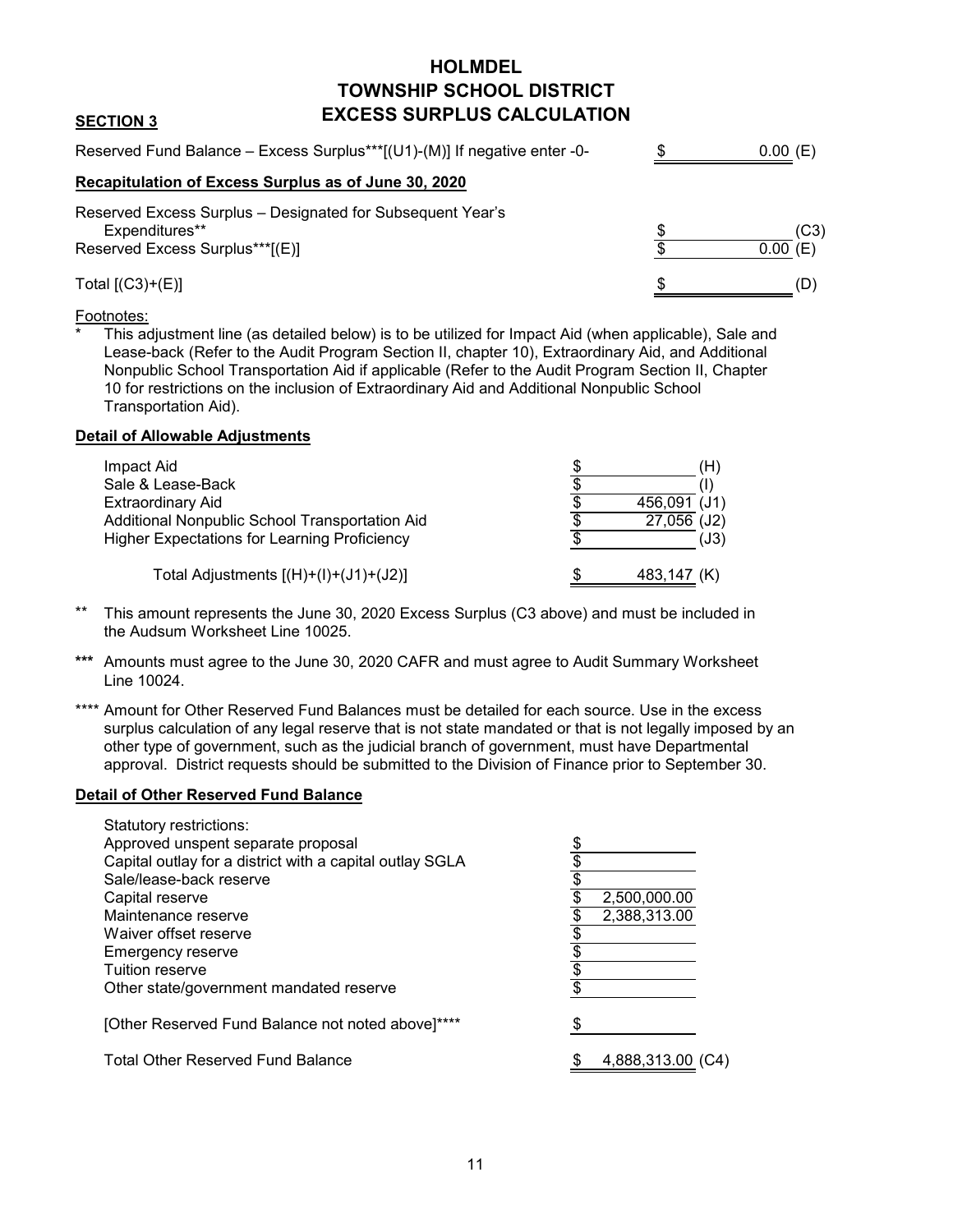# **HOLMDEL TOWNSHIP SCHOOL DISTRICT EXCESS SURPLUS CALCULATION**

## Reserved Fund Balance – Excess Surplus\*\*\* $[(U1)-(M)]$  If negative enter -0-  $\$ **Recapitulation of Excess Surplus as of June 30, 2020** Reserved Excess Surplus – Designated for Subsequent Year's Expenditures\*\*  $\qquad \qquad \qquad$  (C3) Reserved Excess Surplus<sup>\*\*\*</sup>[(E)]  $\overline{\$}$  $Total [(C3)+(E)]$  (D)  $0.00(E)$  $0.00(E)$

### Footnotes:

**SECTION 3**

This adjustment line (as detailed below) is to be utilized for Impact Aid (when applicable), Sale and Lease-back (Refer to the Audit Program Section II, chapter 10), Extraordinary Aid, and Additional Nonpublic School Transportation Aid if applicable (Refer to the Audit Program Section II, Chapter 10 for restrictions on the inclusion of Extraordinary Aid and Additional Nonpublic School Transportation Aid).

### **Detail of Allowable Adjustments**

| Impact Aid                                          | (H)          |
|-----------------------------------------------------|--------------|
| Sale & Lease-Back                                   |              |
| <b>Extraordinary Aid</b>                            | 456,091 (J1) |
| Additional Nonpublic School Transportation Aid      | 27,056 (J2)  |
| <b>Higher Expectations for Learning Proficiency</b> | (J3)         |
| Total Adjustments $[(H)+(I)+(J)+(J2)]$              | 483,147 (K)  |

- \*\* This amount represents the June 30, 2020 Excess Surplus (C3 above) and must be included in the Audsum Worksheet Line 10025.
- **\*\*\*** Amounts must agree to the June 30, 2020 CAFR and must agree to Audit Summary Worksheet Line 10024.
- \*\*\*\* Amount for Other Reserved Fund Balances must be detailed for each source. Use in the excess surplus calculation of any legal reserve that is not state mandated or that is not legally imposed by an other type of government, such as the judicial branch of government, must have Departmental approval. District requests should be submitted to the Division of Finance prior to September 30.

### **Detail of Other Reserved Fund Balance**

| Statutory restrictions:                                  |                   |
|----------------------------------------------------------|-------------------|
| Approved unspent separate proposal                       |                   |
| Capital outlay for a district with a capital outlay SGLA |                   |
| Sale/lease-back reserve                                  |                   |
| Capital reserve                                          | 2,500,000.00      |
| Maintenance reserve                                      | 2,388,313.00      |
| Waiver offset reserve                                    |                   |
| Emergency reserve                                        |                   |
| Tuition reserve                                          |                   |
| Other state/government mandated reserve                  |                   |
| [Other Reserved Fund Balance not noted above]****        |                   |
| <b>Total Other Reserved Fund Balance</b>                 | 4,888,313.00 (C4) |